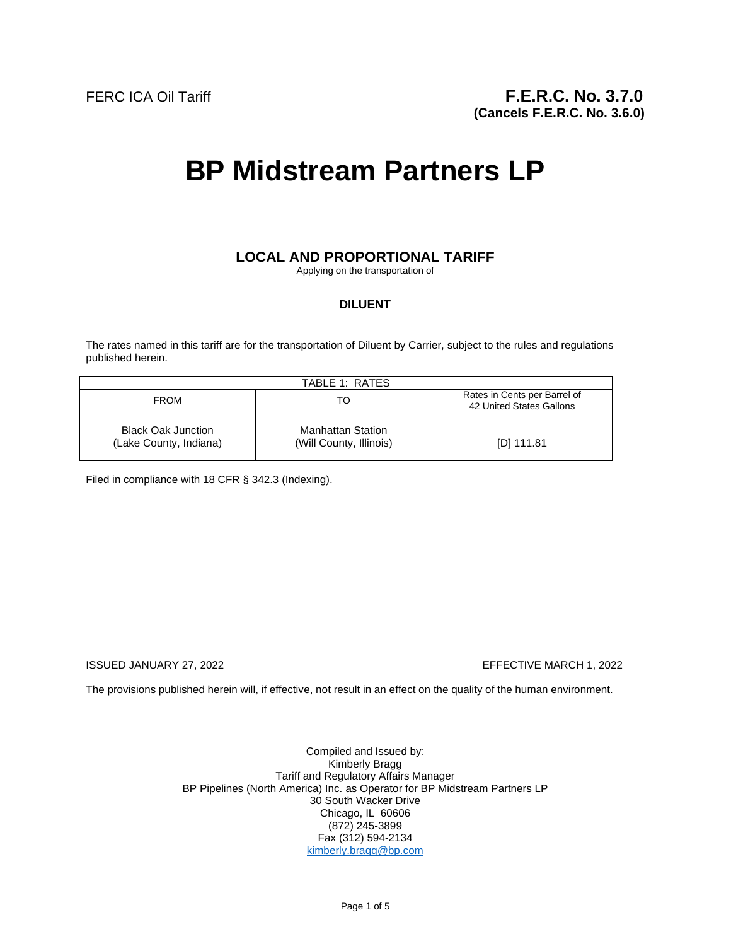# **BP Midstream Partners LP**

## **LOCAL AND PROPORTIONAL TARIFF**

Applying on the transportation of

## **DILUENT**

The rates named in this tariff are for the transportation of Diluent by Carrier, subject to the rules and regulations published herein.

| TABLE 1: RATES                                      |                                                     |                                                          |
|-----------------------------------------------------|-----------------------------------------------------|----------------------------------------------------------|
| <b>FROM</b>                                         | TO                                                  | Rates in Cents per Barrel of<br>42 United States Gallons |
| <b>Black Oak Junction</b><br>(Lake County, Indiana) | <b>Manhattan Station</b><br>(Will County, Illinois) | [D] 111.81                                               |

Filed in compliance with 18 CFR § 342.3 (Indexing).

## ISSUED JANUARY 27, 2022 EFFECTIVE MARCH 1, 2022

The provisions published herein will, if effective, not result in an effect on the quality of the human environment.

Compiled and Issued by: Kimberly Bragg Tariff and Regulatory Affairs Manager BP Pipelines (North America) Inc. as Operator for BP Midstream Partners LP 30 South Wacker Drive Chicago, IL 60606 (872) 245-3899 Fax (312) 594-2134 kimberly.bragg@bp.com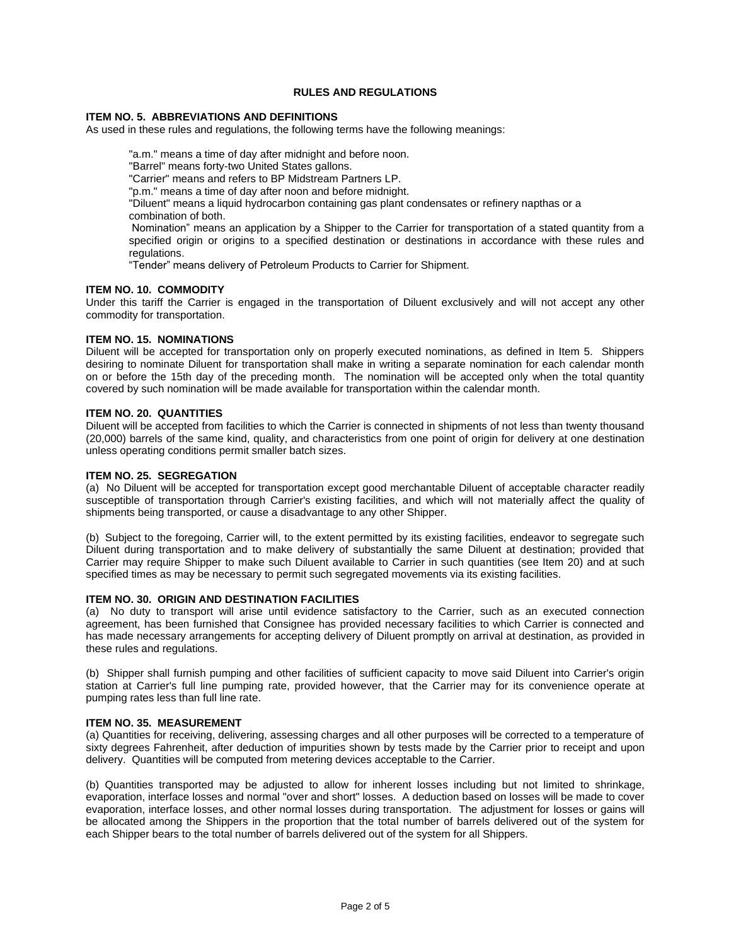## **RULES AND REGULATIONS**

#### **ITEM NO. 5. ABBREVIATIONS AND DEFINITIONS**

As used in these rules and regulations, the following terms have the following meanings:

"a.m." means a time of day after midnight and before noon. "Barrel" means forty-two United States gallons. "Carrier" means and refers to BP Midstream Partners LP. "p.m." means a time of day after noon and before midnight. "Diluent" means a liquid hydrocarbon containing gas plant condensates or refinery napthas or a combination of both. Nomination" means an application by a Shipper to the Carrier for transportation of a stated quantity from a specified origin or origins to a specified destination or destinations in accordance with these rules and regulations.

"Tender" means delivery of Petroleum Products to Carrier for Shipment.

#### **ITEM NO. 10. COMMODITY**

Under this tariff the Carrier is engaged in the transportation of Diluent exclusively and will not accept any other commodity for transportation.

#### **ITEM NO. 15. NOMINATIONS**

Diluent will be accepted for transportation only on properly executed nominations, as defined in Item 5. Shippers desiring to nominate Diluent for transportation shall make in writing a separate nomination for each calendar month on or before the 15th day of the preceding month. The nomination will be accepted only when the total quantity covered by such nomination will be made available for transportation within the calendar month.

#### **ITEM NO. 20. QUANTITIES**

Diluent will be accepted from facilities to which the Carrier is connected in shipments of not less than twenty thousand (20,000) barrels of the same kind, quality, and characteristics from one point of origin for delivery at one destination unless operating conditions permit smaller batch sizes.

#### **ITEM NO. 25. SEGREGATION**

(a) No Diluent will be accepted for transportation except good merchantable Diluent of acceptable character readily susceptible of transportation through Carrier's existing facilities, and which will not materially affect the quality of shipments being transported, or cause a disadvantage to any other Shipper.

(b) Subject to the foregoing, Carrier will, to the extent permitted by its existing facilities, endeavor to segregate such Diluent during transportation and to make delivery of substantially the same Diluent at destination; provided that Carrier may require Shipper to make such Diluent available to Carrier in such quantities (see Item 20) and at such specified times as may be necessary to permit such segregated movements via its existing facilities.

#### **ITEM NO. 30. ORIGIN AND DESTINATION FACILITIES**

(a) No duty to transport will arise until evidence satisfactory to the Carrier, such as an executed connection agreement, has been furnished that Consignee has provided necessary facilities to which Carrier is connected and has made necessary arrangements for accepting delivery of Diluent promptly on arrival at destination, as provided in these rules and regulations.

(b) Shipper shall furnish pumping and other facilities of sufficient capacity to move said Diluent into Carrier's origin station at Carrier's full line pumping rate, provided however, that the Carrier may for its convenience operate at pumping rates less than full line rate.

#### **ITEM NO. 35. MEASUREMENT**

(a) Quantities for receiving, delivering, assessing charges and all other purposes will be corrected to a temperature of sixty degrees Fahrenheit, after deduction of impurities shown by tests made by the Carrier prior to receipt and upon delivery. Quantities will be computed from metering devices acceptable to the Carrier.

(b) Quantities transported may be adjusted to allow for inherent losses including but not limited to shrinkage, evaporation, interface losses and normal "over and short" losses. A deduction based on losses will be made to cover evaporation, interface losses, and other normal losses during transportation. The adjustment for losses or gains will be allocated among the Shippers in the proportion that the total number of barrels delivered out of the system for each Shipper bears to the total number of barrels delivered out of the system for all Shippers.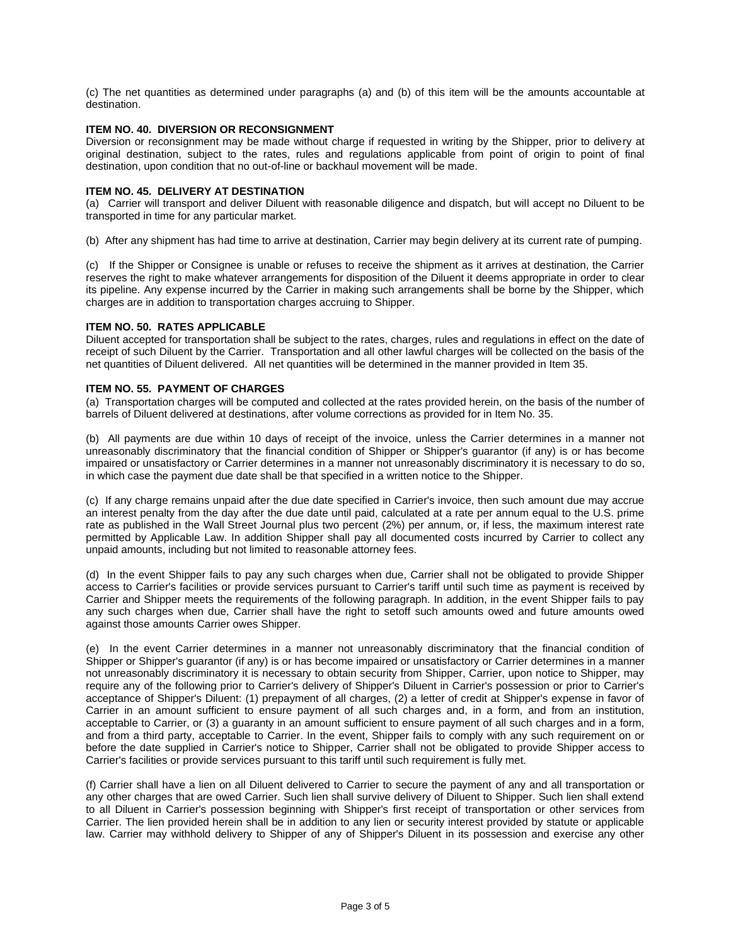(c) The net quantities as determined under paragraphs (a) and (b) of this item will be the amounts accountable at destination.

#### **ITEM NO. 40. DIVERSION OR RECONSIGNMENT**

Diversion or reconsignment may be made without charge if requested in writing by the Shipper, prior to delivery at original destination, subject to the rates, rules and regulations applicable from point of origin to point of final destination, upon condition that no out-of-line or backhaul movement will be made.

#### **ITEM NO. 45. DELIVERY AT DESTINATION**

(a) Carrier will transport and deliver Diluent with reasonable diligence and dispatch, but will accept no Diluent to be transported in time for any particular market.

(b) After any shipment has had time to arrive at destination, Carrier may begin delivery at its current rate of pumping.

(c) If the Shipper or Consignee is unable or refuses to receive the shipment as it arrives at destination, the Carrier reserves the right to make whatever arrangements for disposition of the Diluent it deems appropriate in order to clear its pipeline. Any expense incurred by the Carrier in making such arrangements shall be borne by the Shipper, which charges are in addition to transportation charges accruing to Shipper.

#### **ITEM NO. 50. RATES APPLICABLE**

Diluent accepted for transportation shall be subject to the rates, charges, rules and regulations in effect on the date of receipt of such Diluent by the Carrier. Transportation and all other lawful charges will be collected on the basis of the net quantities of Diluent delivered. All net quantities will be determined in the manner provided in Item 35.

### **ITEM NO. 55. PAYMENT OF CHARGES**

(a) Transportation charges will be computed and collected at the rates provided herein, on the basis of the number of barrels of Diluent delivered at destinations, after volume corrections as provided for in Item No. 35.

(b) All payments are due within 10 days of receipt of the invoice, unless the Carrier determines in a manner not unreasonably discriminatory that the financial condition of Shipper or Shipper's guarantor (if any) is or has become impaired or unsatisfactory or Carrier determines in a manner not unreasonably discriminatory it is necessary to do so, in which case the payment due date shall be that specified in a written notice to the Shipper.

(c) If any charge remains unpaid after the due date specified in Carrier's invoice, then such amount due may accrue an interest penalty from the day after the due date until paid, calculated at a rate per annum equal to the U.S. prime rate as published in the Wall Street Journal plus two percent (2%) per annum, or, if less, the maximum interest rate permitted by Applicable Law. In addition Shipper shall pay all documented costs incurred by Carrier to collect any unpaid amounts, including but not limited to reasonable attorney fees.

(d) In the event Shipper fails to pay any such charges when due, Carrier shall not be obligated to provide Shipper access to Carrier's facilities or provide services pursuant to Carrier's tariff until such time as payment is received by Carrier and Shipper meets the requirements of the following paragraph. In addition, in the event Shipper fails to pay any such charges when due, Carrier shall have the right to setoff such amounts owed and future amounts owed against those amounts Carrier owes Shipper.

(e) In the event Carrier determines in a manner not unreasonably discriminatory that the financial condition of Shipper or Shipper's guarantor (if any) is or has become impaired or unsatisfactory or Carrier determines in a manner not unreasonably discriminatory it is necessary to obtain security from Shipper, Carrier, upon notice to Shipper, may require any of the following prior to Carrier's delivery of Shipper's Diluent in Carrier's possession or prior to Carrier's acceptance of Shipper's Diluent: (1) prepayment of all charges, (2) a letter of credit at Shipper's expense in favor of Carrier in an amount sufficient to ensure payment of all such charges and, in a form, and from an institution, acceptable to Carrier, or (3) a guaranty in an amount sufficient to ensure payment of all such charges and in a form, and from a third party, acceptable to Carrier. In the event, Shipper fails to comply with any such requirement on or before the date supplied in Carrier's notice to Shipper, Carrier shall not be obligated to provide Shipper access to Carrier's facilities or provide services pursuant to this tariff until such requirement is fully met.

(f) Carrier shall have a lien on all Diluent delivered to Carrier to secure the payment of any and all transportation or any other charges that are owed Carrier. Such lien shall survive delivery of Diluent to Shipper. Such lien shall extend to all Diluent in Carrier's possession beginning with Shipper's first receipt of transportation or other services from Carrier. The lien provided herein shall be in addition to any lien or security interest provided by statute or applicable law. Carrier may withhold delivery to Shipper of any of Shipper's Diluent in its possession and exercise any other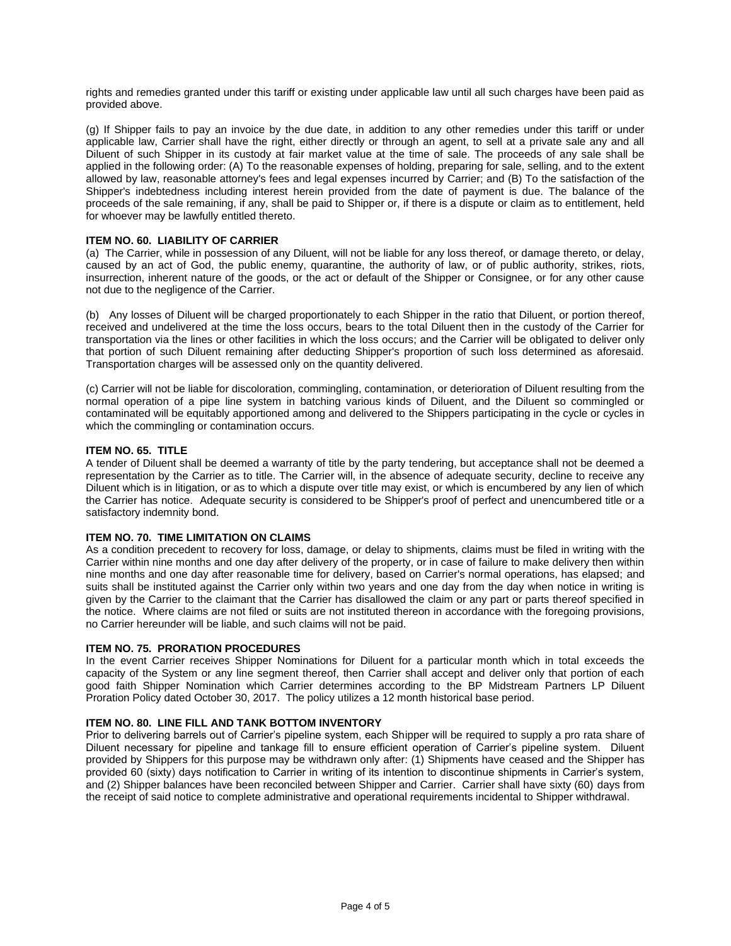rights and remedies granted under this tariff or existing under applicable law until all such charges have been paid as provided above.

(g) If Shipper fails to pay an invoice by the due date, in addition to any other remedies under this tariff or under applicable law, Carrier shall have the right, either directly or through an agent, to sell at a private sale any and all Diluent of such Shipper in its custody at fair market value at the time of sale. The proceeds of any sale shall be applied in the following order: (A) To the reasonable expenses of holding, preparing for sale, selling, and to the extent allowed by law, reasonable attorney's fees and legal expenses incurred by Carrier; and (B) To the satisfaction of the Shipper's indebtedness including interest herein provided from the date of payment is due. The balance of the proceeds of the sale remaining, if any, shall be paid to Shipper or, if there is a dispute or claim as to entitlement, held for whoever may be lawfully entitled thereto.

#### **ITEM NO. 60. LIABILITY OF CARRIER**

(a) The Carrier, while in possession of any Diluent, will not be liable for any loss thereof, or damage thereto, or delay, caused by an act of God, the public enemy, quarantine, the authority of law, or of public authority, strikes, riots, insurrection, inherent nature of the goods, or the act or default of the Shipper or Consignee, or for any other cause not due to the negligence of the Carrier.

(b) Any losses of Diluent will be charged proportionately to each Shipper in the ratio that Diluent, or portion thereof, received and undelivered at the time the loss occurs, bears to the total Diluent then in the custody of the Carrier for transportation via the lines or other facilities in which the loss occurs; and the Carrier will be obligated to deliver only that portion of such Diluent remaining after deducting Shipper's proportion of such loss determined as aforesaid. Transportation charges will be assessed only on the quantity delivered.

(c) Carrier will not be liable for discoloration, commingling, contamination, or deterioration of Diluent resulting from the normal operation of a pipe line system in batching various kinds of Diluent, and the Diluent so commingled or contaminated will be equitably apportioned among and delivered to the Shippers participating in the cycle or cycles in which the commingling or contamination occurs.

#### **ITEM NO. 65. TITLE**

A tender of Diluent shall be deemed a warranty of title by the party tendering, but acceptance shall not be deemed a representation by the Carrier as to title. The Carrier will, in the absence of adequate security, decline to receive any Diluent which is in litigation, or as to which a dispute over title may exist, or which is encumbered by any lien of which the Carrier has notice. Adequate security is considered to be Shipper's proof of perfect and unencumbered title or a satisfactory indemnity bond.

#### **ITEM NO. 70. TIME LIMITATION ON CLAIMS**

As a condition precedent to recovery for loss, damage, or delay to shipments, claims must be filed in writing with the Carrier within nine months and one day after delivery of the property, or in case of failure to make delivery then within nine months and one day after reasonable time for delivery, based on Carrier's normal operations, has elapsed; and suits shall be instituted against the Carrier only within two years and one day from the day when notice in writing is given by the Carrier to the claimant that the Carrier has disallowed the claim or any part or parts thereof specified in the notice. Where claims are not filed or suits are not instituted thereon in accordance with the foregoing provisions, no Carrier hereunder will be liable, and such claims will not be paid.

#### **ITEM NO. 75. PRORATION PROCEDURES**

In the event Carrier receives Shipper Nominations for Diluent for a particular month which in total exceeds the capacity of the System or any line segment thereof, then Carrier shall accept and deliver only that portion of each good faith Shipper Nomination which Carrier determines according to the BP Midstream Partners LP Diluent Proration Policy dated October 30, 2017. The policy utilizes a 12 month historical base period.

#### **ITEM NO. 80. LINE FILL AND TANK BOTTOM INVENTORY**

Prior to delivering barrels out of Carrier's pipeline system, each Shipper will be required to supply a pro rata share of Diluent necessary for pipeline and tankage fill to ensure efficient operation of Carrier's pipeline system. Diluent provided by Shippers for this purpose may be withdrawn only after: (1) Shipments have ceased and the Shipper has provided 60 (sixty) days notification to Carrier in writing of its intention to discontinue shipments in Carrier's system, and (2) Shipper balances have been reconciled between Shipper and Carrier. Carrier shall have sixty (60) days from the receipt of said notice to complete administrative and operational requirements incidental to Shipper withdrawal.